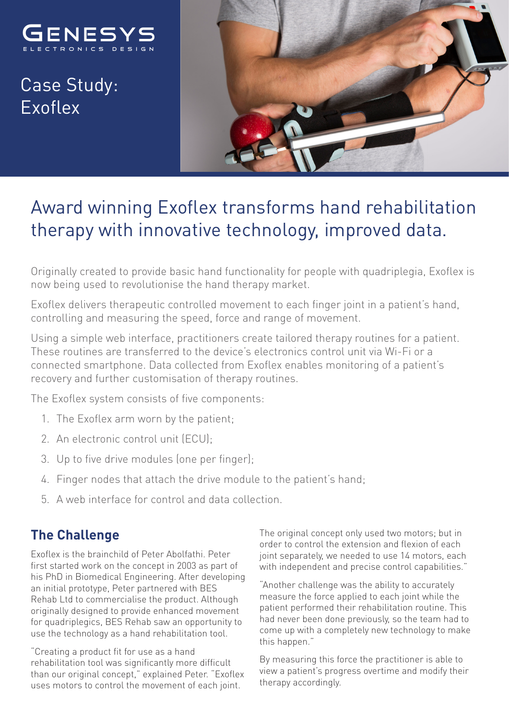

Case Study: Exoflex



# Award winning Exoflex transforms hand rehabilitation therapy with innovative technology, improved data.

Originally created to provide basic hand functionality for people with quadriplegia, Exoflex is now being used to revolutionise the hand therapy market.

Exoflex delivers therapeutic controlled movement to each finger joint in a patient's hand, controlling and measuring the speed, force and range of movement.

Using a simple web interface, practitioners create tailored therapy routines for a patient. These routines are transferred to the device's electronics control unit via Wi-Fi or a connected smartphone. Data collected from Exoflex enables monitoring of a patient's recovery and further customisation of therapy routines.

The Exoflex system consists of five components:

- 1. The Exoflex arm worn by the patient;
- 2. An electronic control unit (ECU);
- 3. Up to five drive modules (one per finger);
- 4. Finger nodes that attach the drive module to the patient's hand;
- 5. A web interface for control and data collection.

#### **The Challenge**

Exoflex is the brainchild of Peter Abolfathi. Peter first started work on the concept in 2003 as part of his PhD in Biomedical Engineering. After developing an initial prototype, Peter partnered with BES Rehab Ltd to commercialise the product. Although originally designed to provide enhanced movement for quadriplegics, BES Rehab saw an opportunity to use the technology as a hand rehabilitation tool.

"Creating a product fit for use as a hand rehabilitation tool was significantly more difficult than our original concept," explained Peter. "Exoflex uses motors to control the movement of each joint.

The original concept only used two motors; but in order to control the extension and flexion of each joint separately, we needed to use 14 motors, each with independent and precise control capabilities."

"Another challenge was the ability to accurately measure the force applied to each joint while the patient performed their rehabilitation routine. This had never been done previously, so the team had to come up with a completely new technology to make this happen."

By measuring this force the practitioner is able to view a patient's progress overtime and modify their therapy accordingly.